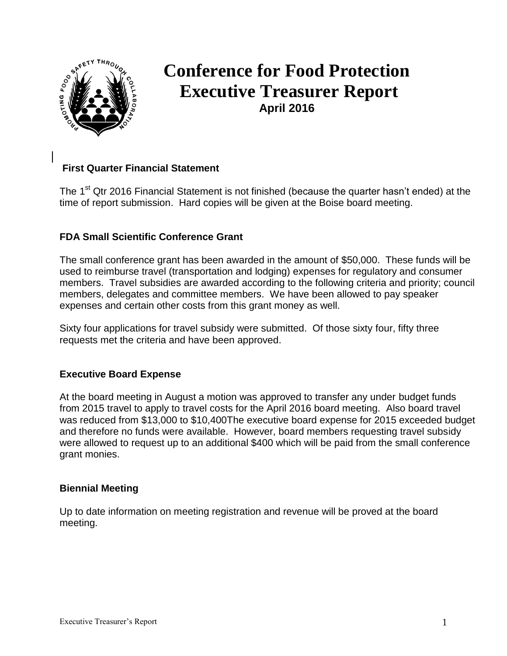

# **Conference for Food Protection Executive Treasurer Report April 2016**

## **First Quarter Financial Statement**

The 1<sup>st</sup> Qtr 2016 Financial Statement is not finished (because the quarter hasn't ended) at the time of report submission. Hard copies will be given at the Boise board meeting.

## **FDA Small Scientific Conference Grant**

The small conference grant has been awarded in the amount of \$50,000. These funds will be used to reimburse travel (transportation and lodging) expenses for regulatory and consumer members. Travel subsidies are awarded according to the following criteria and priority; council members, delegates and committee members. We have been allowed to pay speaker expenses and certain other costs from this grant money as well.

Sixty four applications for travel subsidy were submitted. Of those sixty four, fifty three requests met the criteria and have been approved.

#### **Executive Board Expense**

At the board meeting in August a motion was approved to transfer any under budget funds from 2015 travel to apply to travel costs for the April 2016 board meeting. Also board travel was reduced from \$13,000 to \$10,400The executive board expense for 2015 exceeded budget and therefore no funds were available. However, board members requesting travel subsidy were allowed to request up to an additional \$400 which will be paid from the small conference grant monies.

#### **Biennial Meeting**

Up to date information on meeting registration and revenue will be proved at the board meeting.